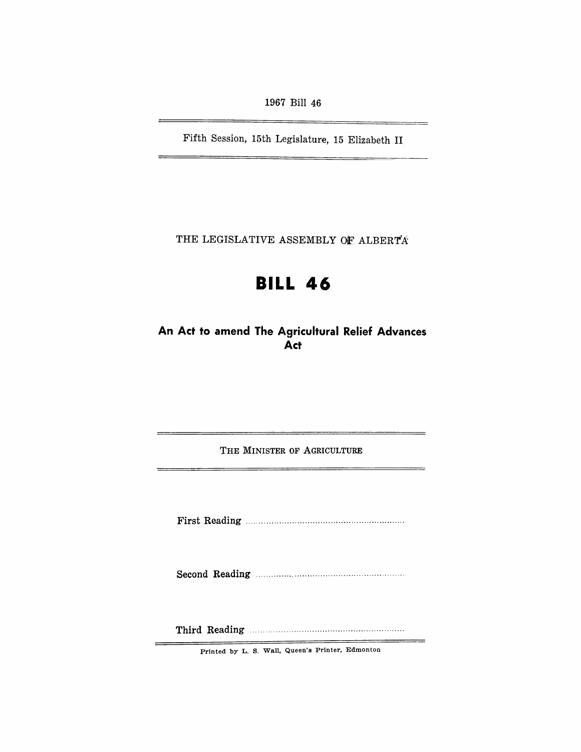1967 Bill 46

Fifth Session, 15th Legislature, 15 Elizabeth II

THE LEGISLATIVE ASSEMBLY OF ALBERTA

# **BILL 46**

**An Act to amend The Agricultural Relief Advances Act** 

THE MINISTER OF AGRICULTURE

First Reading ............................................................. .

Second Reading ......................................................... .

Third Reading .......................................................... .

Printed by L. S. Wall, Queen's Printer, Edmonton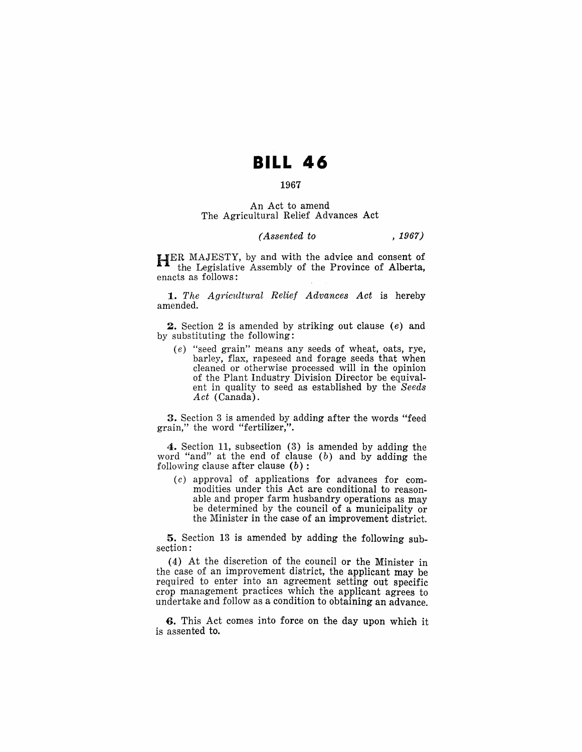# **BILL 46**

# 1967

#### An Act to amend The Agricultural Relief Advances Act

### *(Assented to* , 1967)

HER MAJESTY, by and with the advice and consent of the Legislative Assembly of the Province of Alberta, enacts as follows:

*1. The AgTicultural Relief Advances Act* is hereby amended.

2. Section 2 is amended by striking out clause (e) and by substituting the following:

(e) "seed grain" means any seeds of wheat, oats, rye, barley, flax, rapeseed and forage seeds that when cleaned or otherwise processed will in the opinion of the Plant Industry Division Director be equivalent in quality to seed as established by the *Seeds Act* (Canada).

3. Section 3 is amended by adding after the words "feed grain," the word "fertilizer,".

4. Section 11, subsection (3) is amended by adding the word "and" at the end of clause  $(b)$  and by adding the following clause after clause  $(b)$ :

(c) approval of applieations for advances for commodities under this Act are conditional to reasonable and proper farm husbandry operations as may be determined by the council of a municipality or the Minister in the case of an improvement district.

5. Section 13 is amended by adding the following subsection:

(4) At the discretion of the council or the Minister in the case of an improvement district, the applicant may be required to enter into an agreement setting out specific crop management practices which the applicant agrees to undertake and follow as a condition to obtaining an advance.

6. This Act comes into force on the day upon which it is assented to.